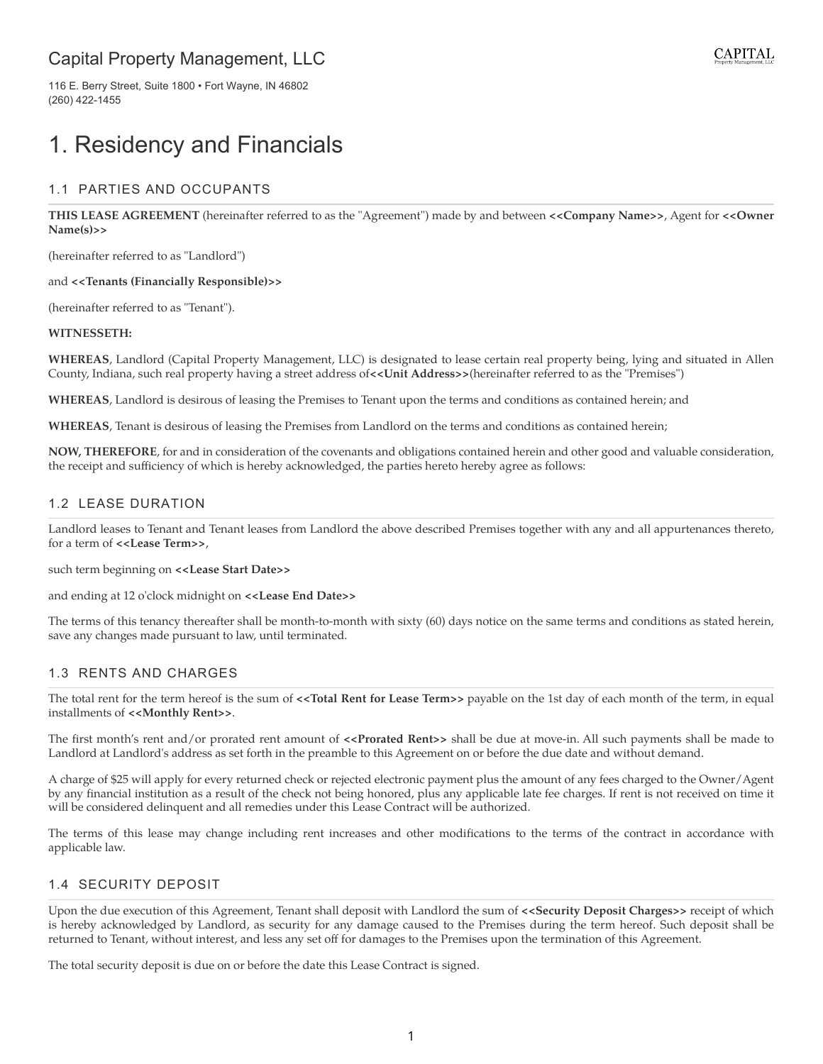# Capital Property Management, LLC

116 E. Berry Street, Suite 1800 • Fort Wayne, IN 46802 (260) 422-1455

# 1. Residency and Financials

# 1.1 PARTIES AND OCCUPANTS

**THIS LEASE AGREEMENT** (hereinafter referred to as the "Agreement") made by and between **<<Company Name>>**, Agent for **<<Owner Name(s)>>**

(hereinafter referred to as "Landlord")

#### and **<<Tenants (Financially Responsible)>>**

(hereinafter referred to as "Tenant").

#### **WITNESSETH:**

**WHEREAS**, Landlord (Capital Property Management, LLC) is designated to lease certain real property being, lying and situated in Allen County, Indiana, such real property having a street address of**<<Unit Address>>**(hereinafter referred to as the "Premises")

**WHEREAS**, Landlord is desirous of leasing the Premises to Tenant upon the terms and conditions as contained herein; and

**WHEREAS**, Tenant is desirous of leasing the Premises from Landlord on the terms and conditions as contained herein;

**NOW, THEREFORE**, for and in consideration of the covenants and obligations contained herein and other good and valuable consideration, the receipt and sufficiency of which is hereby acknowledged, the parties hereto hereby agree as follows:

## 1.2 LEASE DURATION

Landlord leases to Tenant and Tenant leases from Landlord the above described Premises together with any and all appurtenances thereto, for a term of **<<Lease Term>>**,

such term beginning on **<<Lease Start Date>>**

and ending at 12 o'clock midnight on **<<Lease End Date>>**

The terms of this tenancy thereafter shall be month-to-month with sixty (60) days notice on the same terms and conditions as stated herein, save any changes made pursuant to law, until terminated.

# 1.3 RENTS AND CHARGES

The total rent for the term hereof is the sum of **<<Total Rent for Lease Term>>** payable on the 1st day of each month of the term, in equal installments of **<<Monthly Rent>>**.

The first month's rent and/or prorated rent amount of **<<Prorated Rent>>** shall be due at move-in. All such payments shall be made to Landlord at Landlord's address as set forth in the preamble to this Agreement on or before the due date and without demand.

A charge of \$25 will apply for every returned check or rejected electronic payment plus the amount of any fees charged to the Owner/Agent by any financial institution as a result of the check not being honored, plus any applicable late fee charges. If rent is not received on time it will be considered delinquent and all remedies under this Lease Contract will be authorized.

The terms of this lease may change including rent increases and other modifications to the terms of the contract in accordance with applicable law.

## 1.4 SECURITY DEPOSIT

Upon the due execution of this Agreement, Tenant shall deposit with Landlord the sum of **<<Security Deposit Charges>>** receipt of which is hereby acknowledged by Landlord, as security for any damage caused to the Premises during the term hereof. Such deposit shall be returned to Tenant, without interest, and less any set off for damages to the Premises upon the termination of this Agreement.

The total security deposit is due on or before the date this Lease Contract is signed.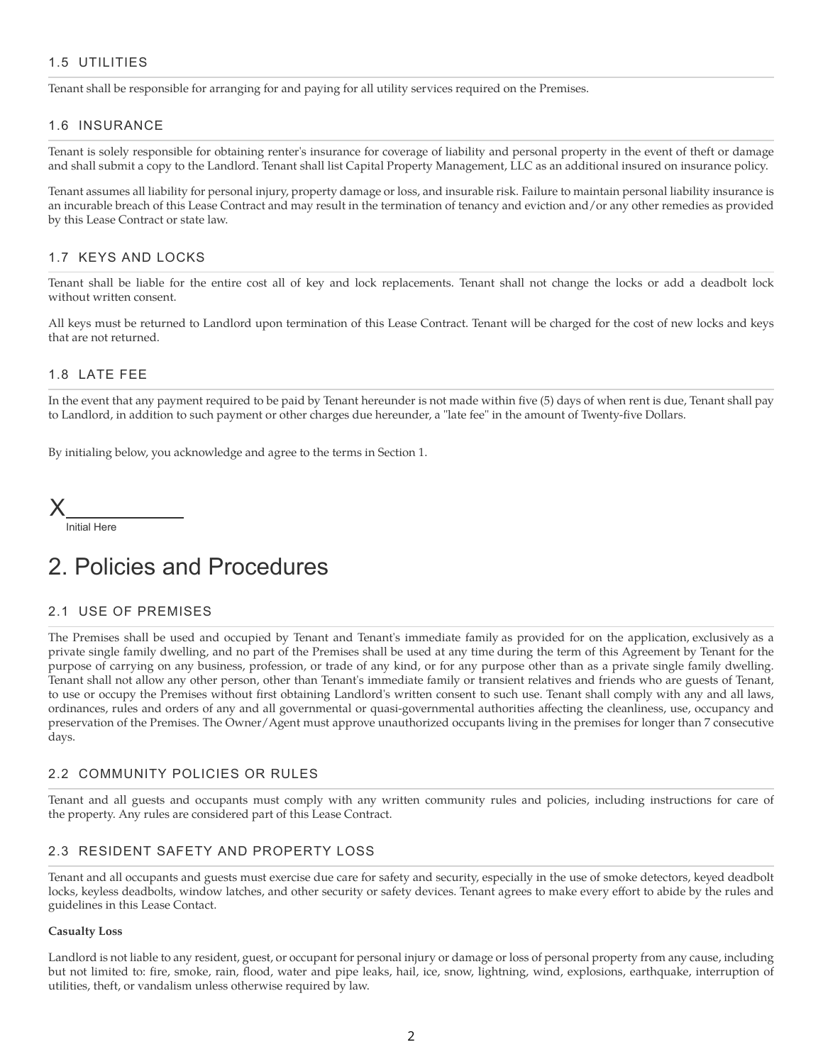# 1.5 UTILITIES

Tenant shall be responsible for arranging for and paying for all utility services required on the Premises.

#### 1.6 INSURANCE

Tenant is solely responsible for obtaining renter's insurance for coverage of liability and personal property in the event of theft or damage and shall submit a copy to the Landlord. Tenant shall list Capital Property Management, LLC as an additional insured on insurance policy.

Tenant assumes all liability for personal injury, property damage or loss, and insurable risk. Failure to maintain personal liability insurance is an incurable breach of this Lease Contract and may result in the termination of tenancy and eviction and/or any other remedies as provided by this Lease Contract or state law.

#### 1.7 KEYS AND LOCKS

Tenant shall be liable for the entire cost all of key and lock replacements. Tenant shall not change the locks or add a deadbolt lock without written consent.

All keys must be returned to Landlord upon termination of this Lease Contract. Tenant will be charged for the cost of new locks and keys that are not returned.

#### 1.8 LATE FEE

In the event that any payment required to be paid by Tenant hereunder is not made within five (5) days of when rent is due, Tenant shall pay to Landlord, in addition to such payment or other charges due hereunder, a "late fee" in the amount of Twenty-five Dollars.

By initialing below, you acknowledge and agree to the terms in Section 1.



Initial Here

# 2. Policies and Procedures

## 2.1 USE OF PREMISES

The Premises shall be used and occupied by Tenant and Tenant's immediate family as provided for on the application, exclusively as a private single family dwelling, and no part of the Premises shall be used at any time during the term of this Agreement by Tenant for the purpose of carrying on any business, profession, or trade of any kind, or for any purpose other than as a private single family dwelling. Tenant shall not allow any other person, other than Tenant's immediate family or transient relatives and friends who are guests of Tenant, to use or occupy the Premises without first obtaining Landlord's written consent to such use. Tenant shall comply with any and all laws, ordinances, rules and orders of any and all governmental or quasi-governmental authorities affecting the cleanliness, use, occupancy and preservation of the Premises. The Owner/Agent must approve unauthorized occupants living in the premises for longer than 7 consecutive days.

#### 2.2 COMMUNITY POLICIES OR RULES

Tenant and all guests and occupants must comply with any written community rules and policies, including instructions for care of the property. Any rules are considered part of this Lease Contract.

#### 2.3 RESIDENT SAFETY AND PROPERTY LOSS

Tenant and all occupants and guests must exercise due care for safety and security, especially in the use of smoke detectors, keyed deadbolt locks, keyless deadbolts, window latches, and other security or safety devices. Tenant agrees to make every effort to abide by the rules and guidelines in this Lease Contact.

#### **Casualty Loss**

Landlord is not liable to any resident, guest, or occupant for personal injury or damage or loss of personal property from any cause, including but not limited to: fire, smoke, rain, flood, water and pipe leaks, hail, ice, snow, lightning, wind, explosions, earthquake, interruption of utilities, theft, or vandalism unless otherwise required by law.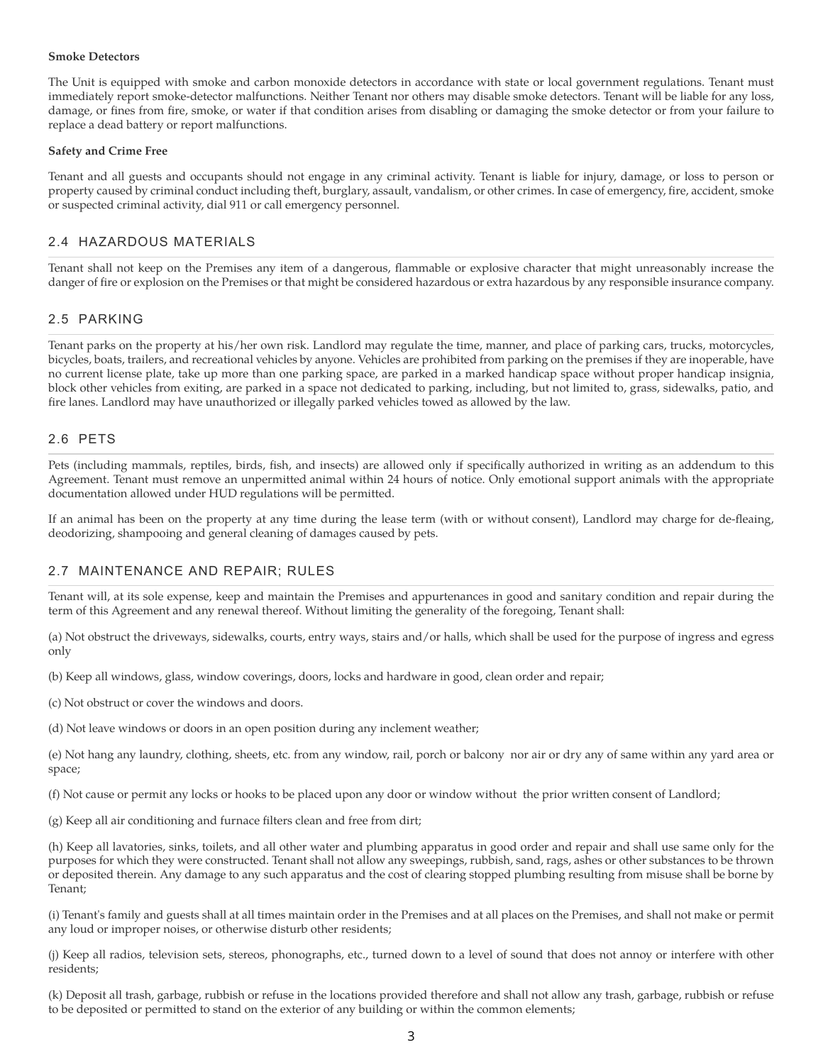#### **Smoke Detectors**

The Unit is equipped with smoke and carbon monoxide detectors in accordance with state or local government regulations. Tenant must immediately report smoke-detector malfunctions. Neither Tenant nor others may disable smoke detectors. Tenant will be liable for any loss, damage, or fines from fire, smoke, or water if that condition arises from disabling or damaging the smoke detector or from your failure to replace a dead battery or report malfunctions.

#### **Safety and Crime Free**

Tenant and all guests and occupants should not engage in any criminal activity. Tenant is liable for injury, damage, or loss to person or property caused by criminal conduct including theft, burglary, assault, vandalism, or other crimes. In case of emergency, fire, accident, smoke or suspected criminal activity, dial 911 or call emergency personnel.

#### 2.4 HAZARDOUS MATERIALS

Tenant shall not keep on the Premises any item of a dangerous, flammable or explosive character that might unreasonably increase the danger of fire or explosion on the Premises or that might be considered hazardous or extra hazardous by any responsible insurance company.

#### 2.5 PARKING

Tenant parks on the property at his/her own risk. Landlord may regulate the time, manner, and place of parking cars, trucks, motorcycles, bicycles, boats, trailers, and recreational vehicles by anyone. Vehicles are prohibited from parking on the premises if they are inoperable, have no current license plate, take up more than one parking space, are parked in a marked handicap space without proper handicap insignia, block other vehicles from exiting, are parked in a space not dedicated to parking, including, but not limited to, grass, sidewalks, patio, and fire lanes. Landlord may have unauthorized or illegally parked vehicles towed as allowed by the law.

#### 2.6 PETS

Pets (including mammals, reptiles, birds, fish, and insects) are allowed only if specifically authorized in writing as an addendum to this Agreement. Tenant must remove an unpermitted animal within 24 hours of notice. Only emotional support animals with the appropriate documentation allowed under HUD regulations will be permitted.

If an animal has been on the property at any time during the lease term (with or without consent), Landlord may charge for de-fleaing, deodorizing, shampooing and general cleaning of damages caused by pets.

#### 2.7 MAINTENANCE AND REPAIR; RULES

Tenant will, at its sole expense, keep and maintain the Premises and appurtenances in good and sanitary condition and repair during the term of this Agreement and any renewal thereof. Without limiting the generality of the foregoing, Tenant shall:

(a) Not obstruct the driveways, sidewalks, courts, entry ways, stairs and/or halls, which shall be used for the purpose of ingress and egress only

(b) Keep all windows, glass, window coverings, doors, locks and hardware in good, clean order and repair;

(c) Not obstruct or cover the windows and doors.

(d) Not leave windows or doors in an open position during any inclement weather;

(e) Not hang any laundry, clothing, sheets, etc. from any window, rail, porch or balcony nor air or dry any of same within any yard area or space;

(f) Not cause or permit any locks or hooks to be placed upon any door or window without the prior written consent of Landlord;

(g) Keep all air conditioning and furnace filters clean and free from dirt;

(h) Keep all lavatories, sinks, toilets, and all other water and plumbing apparatus in good order and repair and shall use same only for the purposes for which they were constructed. Tenant shall not allow any sweepings, rubbish, sand, rags, ashes or other substances to be thrown or deposited therein. Any damage to any such apparatus and the cost of clearing stopped plumbing resulting from misuse shall be borne by Tenant;

(i) Tenant's family and guests shall at all times maintain order in the Premises and at all places on the Premises, and shall not make or permit any loud or improper noises, or otherwise disturb other residents;

(j) Keep all radios, television sets, stereos, phonographs, etc., turned down to a level of sound that does not annoy or interfere with other residents;

(k) Deposit all trash, garbage, rubbish or refuse in the locations provided therefore and shall not allow any trash, garbage, rubbish or refuse to be deposited or permitted to stand on the exterior of any building or within the common elements;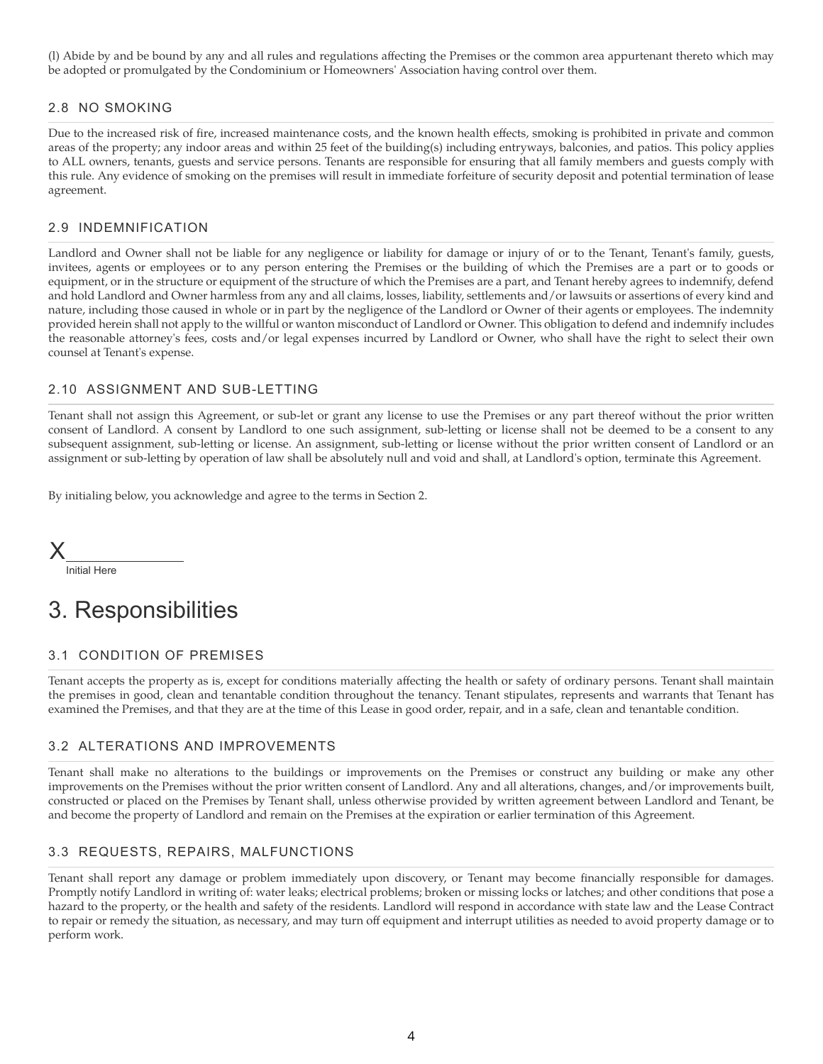(l) Abide by and be bound by any and all rules and regulations affecting the Premises or the common area appurtenant thereto which may be adopted or promulgated by the Condominium or Homeowners' Association having control over them.

# 2.8 NO SMOKING

Due to the increased risk of fire, increased maintenance costs, and the known health effects, smoking is prohibited in private and common areas of the property; any indoor areas and within 25 feet of the building(s) including entryways, balconies, and patios. This policy applies to ALL owners, tenants, guests and service persons. Tenants are responsible for ensuring that all family members and guests comply with this rule. Any evidence of smoking on the premises will result in immediate forfeiture of security deposit and potential termination of lease agreement.

#### 2.9 INDEMNIFICATION

Landlord and Owner shall not be liable for any negligence or liability for damage or injury of or to the Tenant, Tenant's family, guests, invitees, agents or employees or to any person entering the Premises or the building of which the Premises are a part or to goods or equipment, or in the structure or equipment of the structure of which the Premises are a part, and Tenant hereby agrees to indemnify, defend and hold Landlord and Owner harmless from any and all claims, losses, liability, settlements and/or lawsuits or assertions of every kind and nature, including those caused in whole or in part by the negligence of the Landlord or Owner of their agents or employees. The indemnity provided herein shall not apply to the willful or wanton misconduct of Landlord or Owner. This obligation to defend and indemnify includes the reasonable attorney's fees, costs and/or legal expenses incurred by Landlord or Owner, who shall have the right to select their own counsel at Tenant's expense.

## 2.10 ASSIGNMENT AND SUB-LETTING

Tenant shall not assign this Agreement, or sub-let or grant any license to use the Premises or any part thereof without the prior written consent of Landlord. A consent by Landlord to one such assignment, sub-letting or license shall not be deemed to be a consent to any subsequent assignment, sub-letting or license. An assignment, sub-letting or license without the prior written consent of Landlord or an assignment or sub-letting by operation of law shall be absolutely null and void and shall, at Landlord's option, terminate this Agreement.

By initialing below, you acknowledge and agree to the terms in Section 2.

Initial Here X

# 3. Responsibilities

# 3.1 CONDITION OF PREMISES

Tenant accepts the property as is, except for conditions materially affecting the health or safety of ordinary persons. Tenant shall maintain the premises in good, clean and tenantable condition throughout the tenancy. Tenant stipulates, represents and warrants that Tenant has examined the Premises, and that they are at the time of this Lease in good order, repair, and in a safe, clean and tenantable condition.

## 3.2 ALTERATIONS AND IMPROVEMENTS

Tenant shall make no alterations to the buildings or improvements on the Premises or construct any building or make any other improvements on the Premises without the prior written consent of Landlord. Any and all alterations, changes, and/or improvements built, constructed or placed on the Premises by Tenant shall, unless otherwise provided by written agreement between Landlord and Tenant, be and become the property of Landlord and remain on the Premises at the expiration or earlier termination of this Agreement.

## 3.3 REQUESTS, REPAIRS, MALFUNCTIONS

Tenant shall report any damage or problem immediately upon discovery, or Tenant may become financially responsible for damages. Promptly notify Landlord in writing of: water leaks; electrical problems; broken or missing locks or latches; and other conditions that pose a hazard to the property, or the health and safety of the residents. Landlord will respond in accordance with state law and the Lease Contract to repair or remedy the situation, as necessary, and may turn off equipment and interrupt utilities as needed to avoid property damage or to perform work.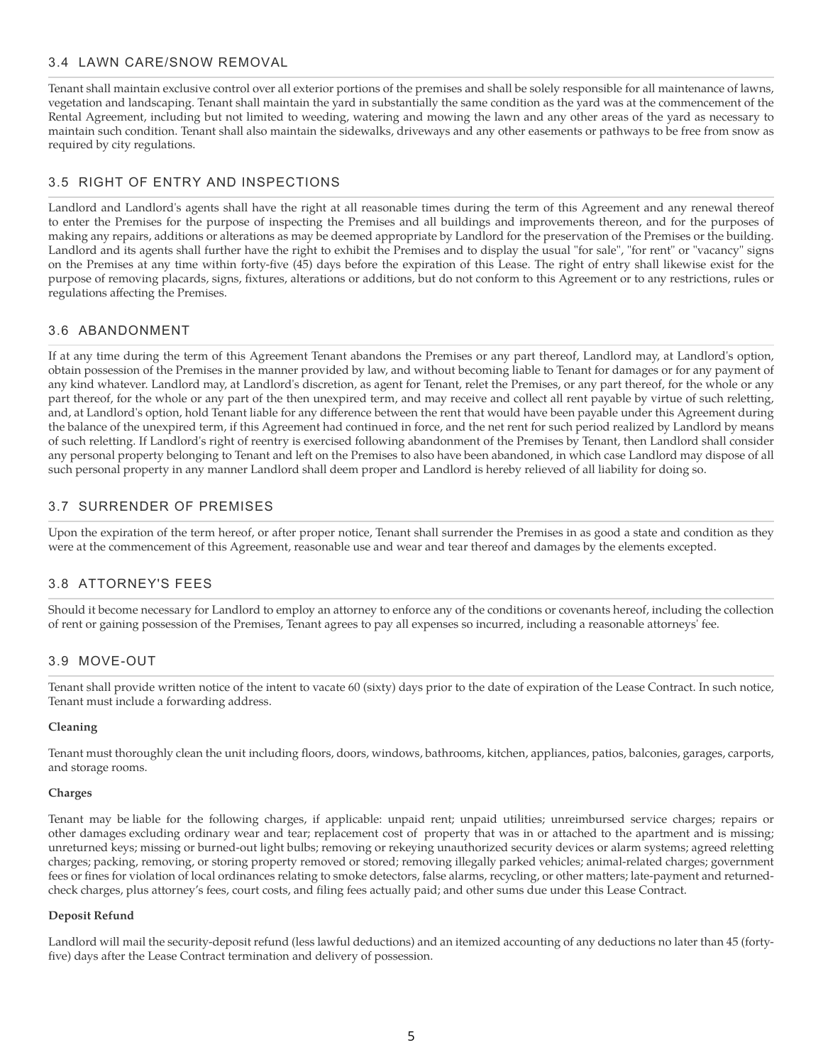# 3.4 LAWN CARE/SNOW REMOVAL

Tenant shall maintain exclusive control over all exterior portions of the premises and shall be solely responsible for all maintenance of lawns, vegetation and landscaping. Tenant shall maintain the yard in substantially the same condition as the yard was at the commencement of the Rental Agreement, including but not limited to weeding, watering and mowing the lawn and any other areas of the yard as necessary to maintain such condition. Tenant shall also maintain the sidewalks, driveways and any other easements or pathways to be free from snow as required by city regulations.

# 3.5 RIGHT OF ENTRY AND INSPECTIONS

Landlord and Landlord's agents shall have the right at all reasonable times during the term of this Agreement and any renewal thereof to enter the Premises for the purpose of inspecting the Premises and all buildings and improvements thereon, and for the purposes of making any repairs, additions or alterations as may be deemed appropriate by Landlord for the preservation of the Premises or the building. Landlord and its agents shall further have the right to exhibit the Premises and to display the usual "for sale", "for rent" or "vacancy" signs on the Premises at any time within forty-five (45) days before the expiration of this Lease. The right of entry shall likewise exist for the purpose of removing placards, signs, fixtures, alterations or additions, but do not conform to this Agreement or to any restrictions, rules or regulations affecting the Premises.

# 3.6 ABANDONMENT

If at any time during the term of this Agreement Tenant abandons the Premises or any part thereof, Landlord may, at Landlord's option, obtain possession of the Premises in the manner provided by law, and without becoming liable to Tenant for damages or for any payment of any kind whatever. Landlord may, at Landlord's discretion, as agent for Tenant, relet the Premises, or any part thereof, for the whole or any part thereof, for the whole or any part of the then unexpired term, and may receive and collect all rent payable by virtue of such reletting, and, at Landlord's option, hold Tenant liable for any difference between the rent that would have been payable under this Agreement during the balance of the unexpired term, if this Agreement had continued in force, and the net rent for such period realized by Landlord by means of such reletting. If Landlord's right of reentry is exercised following abandonment of the Premises by Tenant, then Landlord shall consider any personal property belonging to Tenant and left on the Premises to also have been abandoned, in which case Landlord may dispose of all such personal property in any manner Landlord shall deem proper and Landlord is hereby relieved of all liability for doing so.

# 3.7 SURRENDER OF PREMISES

Upon the expiration of the term hereof, or after proper notice, Tenant shall surrender the Premises in as good a state and condition as they were at the commencement of this Agreement, reasonable use and wear and tear thereof and damages by the elements excepted.

## 3.8 ATTORNEY'S FEES

Should it become necessary for Landlord to employ an attorney to enforce any of the conditions or covenants hereof, including the collection of rent or gaining possession of the Premises, Tenant agrees to pay all expenses so incurred, including a reasonable attorneys' fee.

## 3.9 MOVE-OUT

Tenant shall provide written notice of the intent to vacate 60 (sixty) days prior to the date of expiration of the Lease Contract. In such notice, Tenant must include a forwarding address.

#### **Cleaning**

Tenant must thoroughly clean the unit including floors, doors, windows, bathrooms, kitchen, appliances, patios, balconies, garages, carports, and storage rooms.

#### **Charges**

Tenant may be liable for the following charges, if applicable: unpaid rent; unpaid utilities; unreimbursed service charges; repairs or other damages excluding ordinary wear and tear; replacement cost of property that was in or attached to the apartment and is missing; unreturned keys; missing or burned-out light bulbs; removing or rekeying unauthorized security devices or alarm systems; agreed reletting charges; packing, removing, or storing property removed or stored; removing illegally parked vehicles; animal-related charges; government fees or fines for violation of local ordinances relating to smoke detectors, false alarms, recycling, or other matters; late-payment and returnedcheck charges, plus attorney's fees, court costs, and filing fees actually paid; and other sums due under this Lease Contract.

#### **Deposit Refund**

Landlord will mail the security-deposit refund (less lawful deductions) and an itemized accounting of any deductions no later than 45 (fortyfive) days after the Lease Contract termination and delivery of possession.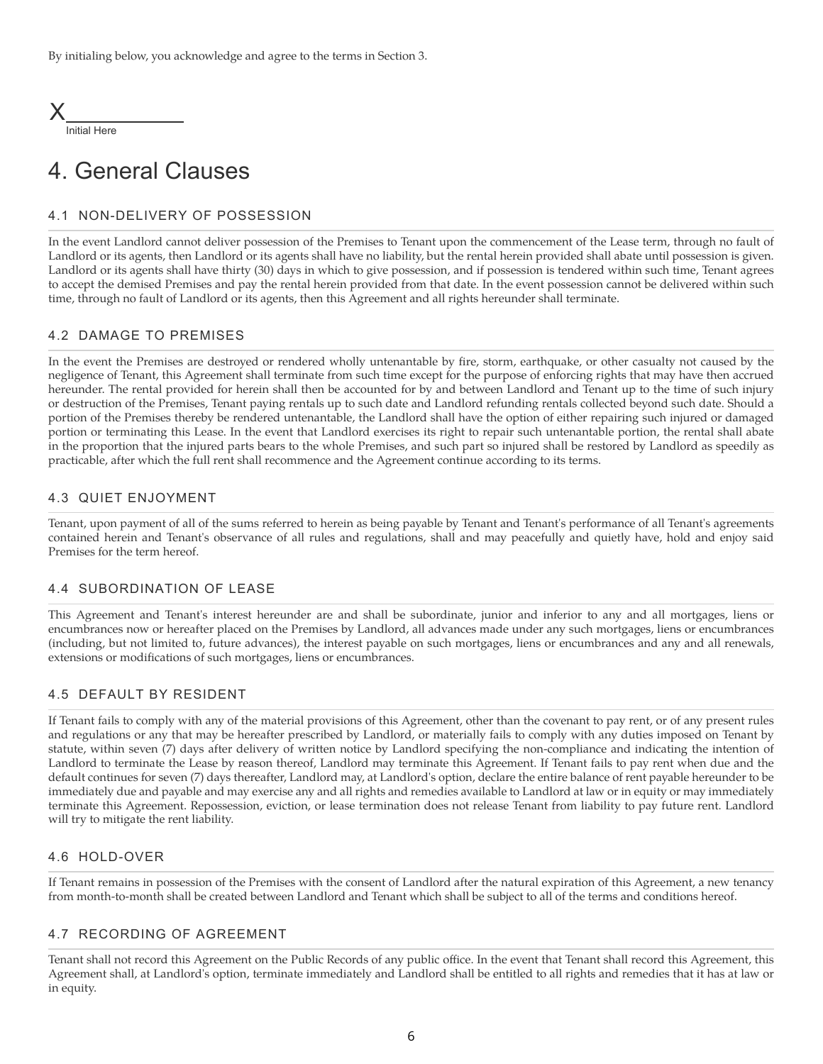

# 4. General Clauses

# 4.1 NON-DELIVERY OF POSSESSION

In the event Landlord cannot deliver possession of the Premises to Tenant upon the commencement of the Lease term, through no fault of Landlord or its agents, then Landlord or its agents shall have no liability, but the rental herein provided shall abate until possession is given. Landlord or its agents shall have thirty (30) days in which to give possession, and if possession is tendered within such time, Tenant agrees to accept the demised Premises and pay the rental herein provided from that date. In the event possession cannot be delivered within such time, through no fault of Landlord or its agents, then this Agreement and all rights hereunder shall terminate.

# 4.2 DAMAGE TO PREMISES

In the event the Premises are destroyed or rendered wholly untenantable by fire, storm, earthquake, or other casualty not caused by the negligence of Tenant, this Agreement shall terminate from such time except for the purpose of enforcing rights that may have then accrued hereunder. The rental provided for herein shall then be accounted for by and between Landlord and Tenant up to the time of such injury or destruction of the Premises, Tenant paying rentals up to such date and Landlord refunding rentals collected beyond such date. Should a portion of the Premises thereby be rendered untenantable, the Landlord shall have the option of either repairing such injured or damaged portion or terminating this Lease. In the event that Landlord exercises its right to repair such untenantable portion, the rental shall abate in the proportion that the injured parts bears to the whole Premises, and such part so injured shall be restored by Landlord as speedily as practicable, after which the full rent shall recommence and the Agreement continue according to its terms.

## 4.3 QUIET ENJOYMENT

Tenant, upon payment of all of the sums referred to herein as being payable by Tenant and Tenant's performance of all Tenant's agreements contained herein and Tenant's observance of all rules and regulations, shall and may peacefully and quietly have, hold and enjoy said Premises for the term hereof.

## 4.4 SUBORDINATION OF LEASE

This Agreement and Tenant's interest hereunder are and shall be subordinate, junior and inferior to any and all mortgages, liens or encumbrances now or hereafter placed on the Premises by Landlord, all advances made under any such mortgages, liens or encumbrances (including, but not limited to, future advances), the interest payable on such mortgages, liens or encumbrances and any and all renewals, extensions or modifications of such mortgages, liens or encumbrances.

# 4.5 DEFAULT BY RESIDENT

If Tenant fails to comply with any of the material provisions of this Agreement, other than the covenant to pay rent, or of any present rules and regulations or any that may be hereafter prescribed by Landlord, or materially fails to comply with any duties imposed on Tenant by statute, within seven (7) days after delivery of written notice by Landlord specifying the non-compliance and indicating the intention of Landlord to terminate the Lease by reason thereof, Landlord may terminate this Agreement. If Tenant fails to pay rent when due and the default continues for seven (7) days thereafter, Landlord may, at Landlord's option, declare the entire balance of rent payable hereunder to be immediately due and payable and may exercise any and all rights and remedies available to Landlord at law or in equity or may immediately terminate this Agreement. Repossession, eviction, or lease termination does not release Tenant from liability to pay future rent. Landlord will try to mitigate the rent liability.

## 4.6 HOLD-OVER

If Tenant remains in possession of the Premises with the consent of Landlord after the natural expiration of this Agreement, a new tenancy from month-to-month shall be created between Landlord and Tenant which shall be subject to all of the terms and conditions hereof.

# 4.7 RECORDING OF AGREEMENT

Tenant shall not record this Agreement on the Public Records of any public office. In the event that Tenant shall record this Agreement, this Agreement shall, at Landlord's option, terminate immediately and Landlord shall be entitled to all rights and remedies that it has at law or in equity.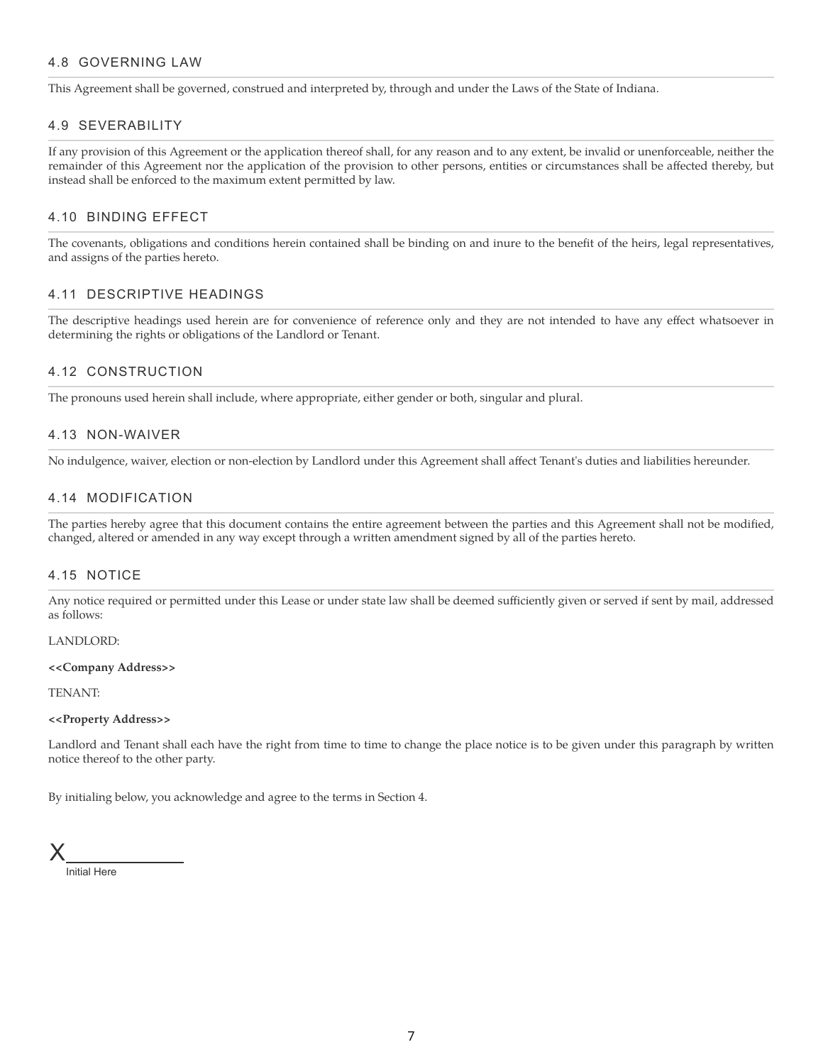## 4.8 GOVERNING LAW

This Agreement shall be governed, construed and interpreted by, through and under the Laws of the State of Indiana.

#### 4.9 SEVERABILITY

If any provision of this Agreement or the application thereof shall, for any reason and to any extent, be invalid or unenforceable, neither the remainder of this Agreement nor the application of the provision to other persons, entities or circumstances shall be affected thereby, but instead shall be enforced to the maximum extent permitted by law.

#### 4.10 BINDING EFFECT

The covenants, obligations and conditions herein contained shall be binding on and inure to the benefit of the heirs, legal representatives, and assigns of the parties hereto.

#### 4.11 DESCRIPTIVE HEADINGS

The descriptive headings used herein are for convenience of reference only and they are not intended to have any effect whatsoever in determining the rights or obligations of the Landlord or Tenant.

#### 4.12 CONSTRUCTION

The pronouns used herein shall include, where appropriate, either gender or both, singular and plural.

#### 4.13 NON-WAIVER

No indulgence, waiver, election or non-election by Landlord under this Agreement shall affect Tenant's duties and liabilities hereunder.

#### 4.14 MODIFICATION

The parties hereby agree that this document contains the entire agreement between the parties and this Agreement shall not be modified, changed, altered or amended in any way except through a written amendment signed by all of the parties hereto.

#### 4.15 NOTICE

Any notice required or permitted under this Lease or under state law shall be deemed sufficiently given or served if sent by mail, addressed as follows:

LANDLORD:

**<<Company Address>>**

TENANT:

#### **<<Property Address>>**

Landlord and Tenant shall each have the right from time to time to change the place notice is to be given under this paragraph by written notice thereof to the other party.

By initialing below, you acknowledge and agree to the terms in Section 4.

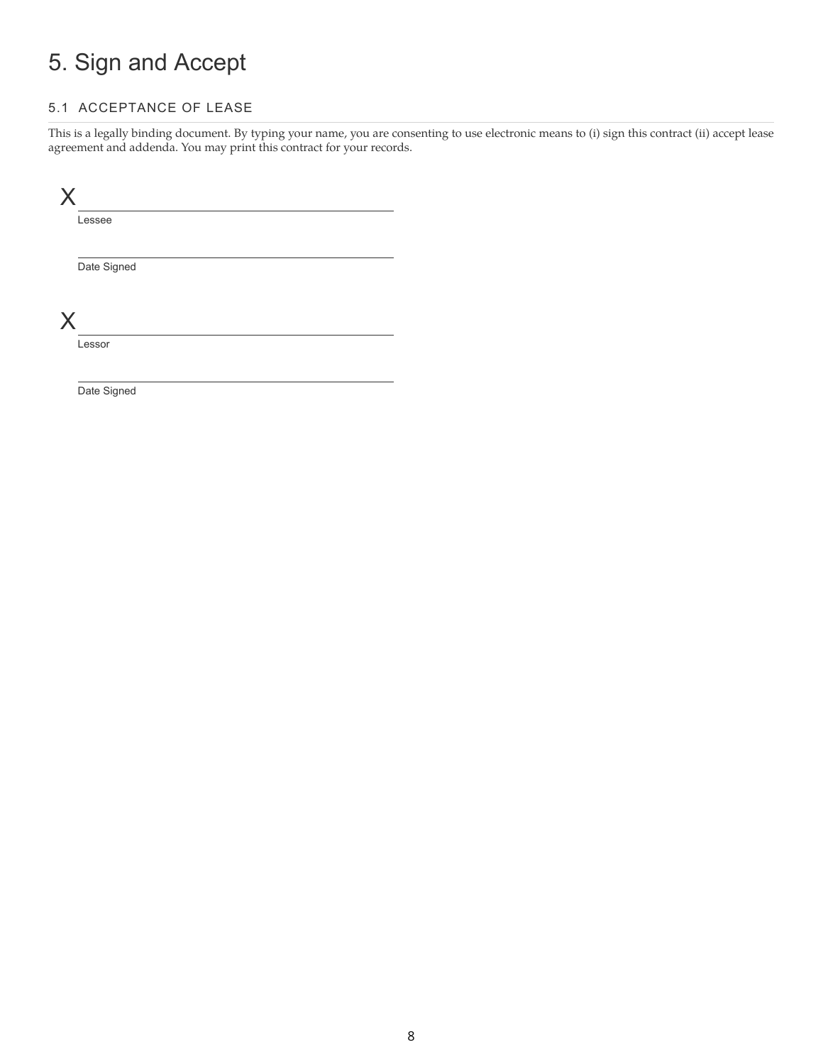# 5. Sign and Accept

# 5.1 ACCEPTANCE OF LEASE

This is a legally binding document. By typing your name, you are consenting to use electronic means to (i) sign this contract (ii) accept lease agreement and addenda. You may print this contract for your records.

| Lessee      |  |  |
|-------------|--|--|
| Date Signed |  |  |
|             |  |  |
|             |  |  |

Date Signed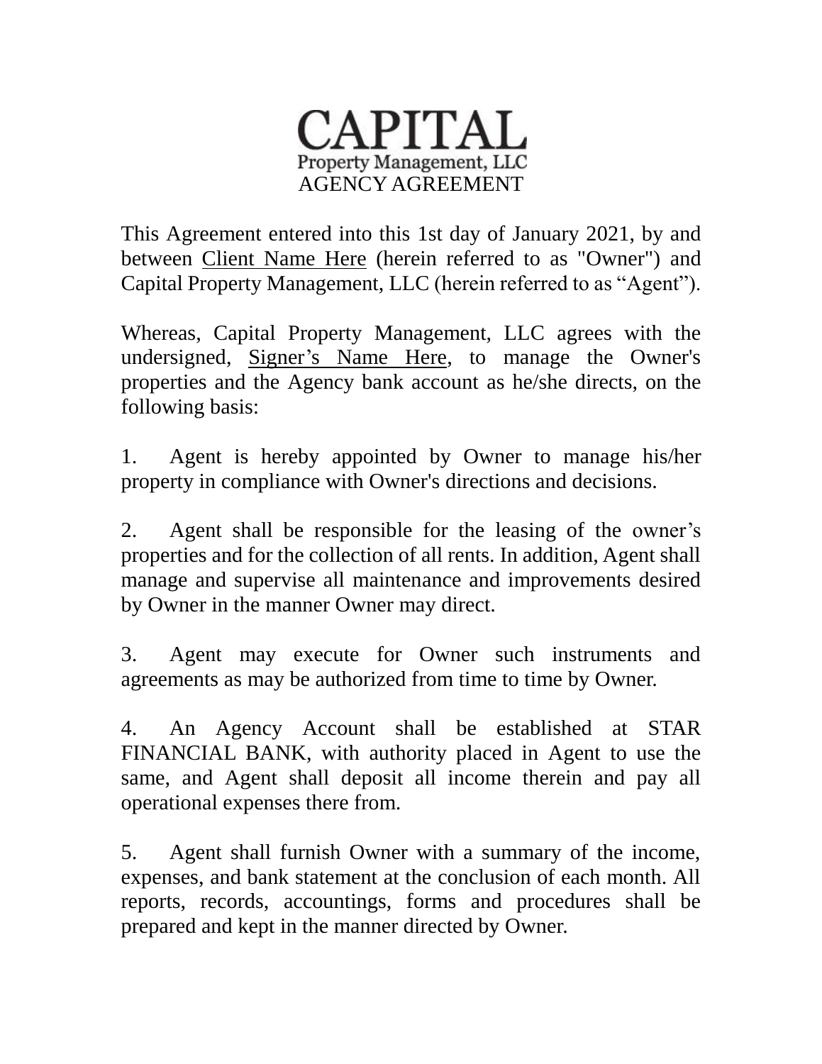

This Agreement entered into this 1st day of January 2021, by and between Client Name Here (herein referred to as "Owner") and Capital Property Management, LLC (herein referred to as "Agent").

Whereas, Capital Property Management, LLC agrees with the undersigned, Signer's Name Here, to manage the Owner's properties and the Agency bank account as he/she directs, on the following basis:

1. Agent is hereby appointed by Owner to manage his/her property in compliance with Owner's directions and decisions.

2. Agent shall be responsible for the leasing of the owner's properties and for the collection of all rents. In addition, Agent shall manage and supervise all maintenance and improvements desired by Owner in the manner Owner may direct.

3. Agent may execute for Owner such instruments and agreements as may be authorized from time to time by Owner.

4. An Agency Account shall be established at STAR FINANCIAL BANK, with authority placed in Agent to use the same, and Agent shall deposit all income therein and pay all operational expenses there from.

5. Agent shall furnish Owner with a summary of the income, expenses, and bank statement at the conclusion of each month. All reports, records, accountings, forms and procedures shall be prepared and kept in the manner directed by Owner.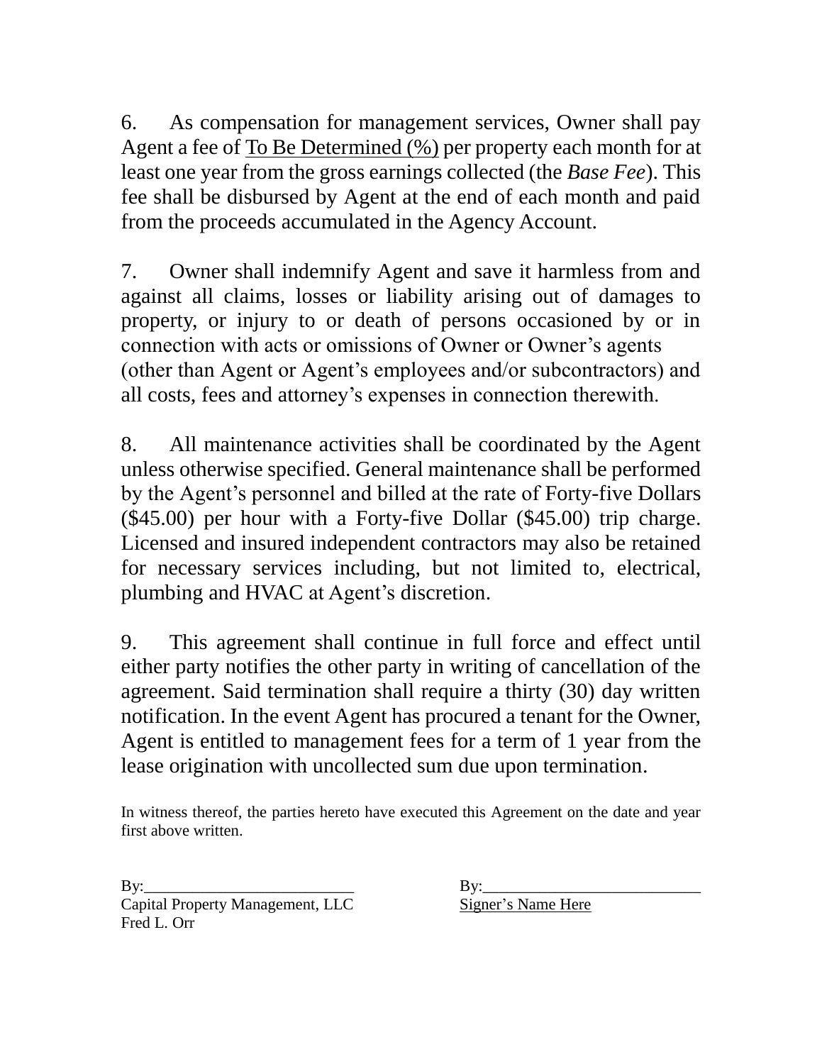6. As compensation for management services, Owner shall pay Agent a fee of To Be Determined (%) per property each month for at least one year from the gross earnings collected (the *Base Fee*). This fee shall be disbursed by Agent at the end of each month and paid from the proceeds accumulated in the Agency Account.

7. Owner shall indemnify Agent and save it harmless from and against all claims, losses or liability arising out of damages to property, or injury to or death of persons occasioned by or in connection with acts or omissions of Owner or Owner's agents (other than Agent or Agent's employees and/or subcontractors) and all costs, fees and attorney's expenses in connection therewith.

8. All maintenance activities shall be coordinated by the Agent unless otherwise specified. General maintenance shall be performed by the Agent's personnel and billed at the rate of Forty-five Dollars (\$45.00) per hour with a Forty-five Dollar (\$45.00) trip charge. Licensed and insured independent contractors may also be retained for necessary services including, but not limited to, electrical, plumbing and HVAC at Agent's discretion.

9. This agreement shall continue in full force and effect until either party notifies the other party in writing of cancellation of the agreement. Said termination shall require a thirty (30) day written notification. In the event Agent has procured a tenant for the Owner, Agent is entitled to management fees for a term of 1 year from the lease origination with uncollected sum due upon termination.

In witness thereof, the parties hereto have executed this Agreement on the date and year first above written.

By:\_\_\_\_\_\_\_\_\_\_\_\_\_\_\_\_\_\_\_\_\_\_\_\_\_\_ By:\_\_\_\_\_\_\_\_\_\_\_\_\_\_\_\_\_\_\_\_\_\_\_\_\_\_\_ Capital Property Management, LLC Signer's Name Here Fred L. Orr